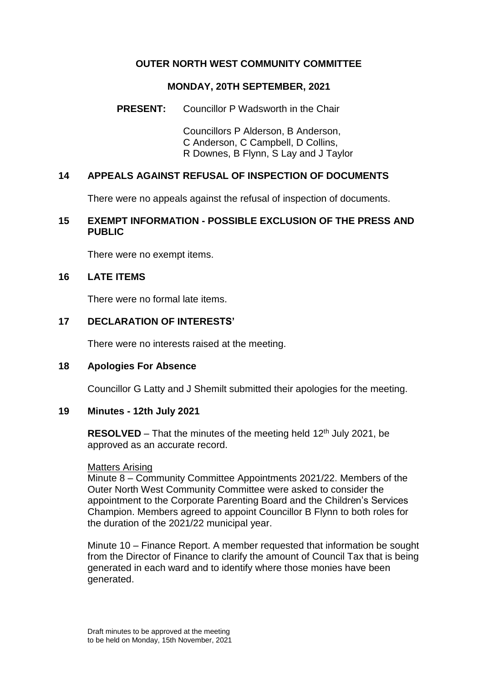# **OUTER NORTH WEST COMMUNITY COMMITTEE**

### **MONDAY, 20TH SEPTEMBER, 2021**

# **PRESENT:** Councillor P Wadsworth in the Chair

Councillors P Alderson, B Anderson, C Anderson, C Campbell, D Collins, R Downes, B Flynn, S Lay and J Taylor

# **14 APPEALS AGAINST REFUSAL OF INSPECTION OF DOCUMENTS**

There were no appeals against the refusal of inspection of documents.

## **15 EXEMPT INFORMATION - POSSIBLE EXCLUSION OF THE PRESS AND PUBLIC**

There were no exempt items.

## **16 LATE ITEMS**

There were no formal late items.

## **17 DECLARATION OF INTERESTS'**

There were no interests raised at the meeting.

## **18 Apologies For Absence**

Councillor G Latty and J Shemilt submitted their apologies for the meeting.

## **19 Minutes - 12th July 2021**

**RESOLVED** – That the minutes of the meeting held 12<sup>th</sup> July 2021, be approved as an accurate record.

#### Matters Arising

Minute 8 – Community Committee Appointments 2021/22. Members of the Outer North West Community Committee were asked to consider the appointment to the Corporate Parenting Board and the Children's Services Champion. Members agreed to appoint Councillor B Flynn to both roles for the duration of the 2021/22 municipal year.

Minute 10 – Finance Report. A member requested that information be sought from the Director of Finance to clarify the amount of Council Tax that is being generated in each ward and to identify where those monies have been generated.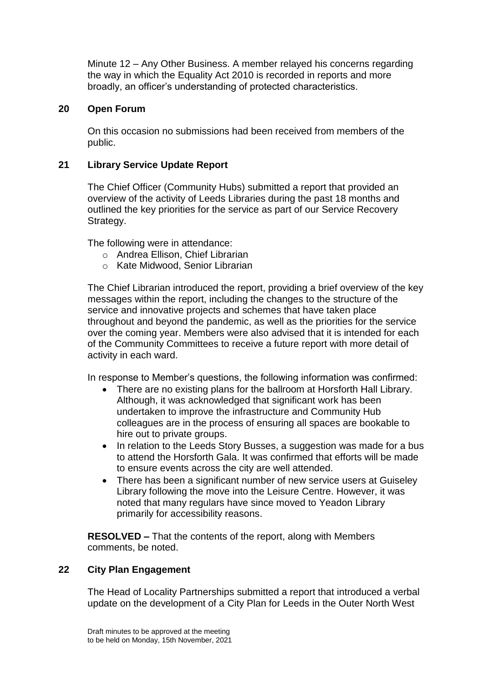Minute 12 – Any Other Business. A member relayed his concerns regarding the way in which the Equality Act 2010 is recorded in reports and more broadly, an officer's understanding of protected characteristics.

# **20 Open Forum**

On this occasion no submissions had been received from members of the public.

# **21 Library Service Update Report**

The Chief Officer (Community Hubs) submitted a report that provided an overview of the activity of Leeds Libraries during the past 18 months and outlined the key priorities for the service as part of our Service Recovery Strategy.

The following were in attendance:

- o Andrea Ellison, Chief Librarian
- o Kate Midwood, Senior Librarian

The Chief Librarian introduced the report, providing a brief overview of the key messages within the report, including the changes to the structure of the service and innovative projects and schemes that have taken place throughout and beyond the pandemic, as well as the priorities for the service over the coming year. Members were also advised that it is intended for each of the Community Committees to receive a future report with more detail of activity in each ward.

In response to Member's questions, the following information was confirmed:

- There are no existing plans for the ballroom at Horsforth Hall Library. Although, it was acknowledged that significant work has been undertaken to improve the infrastructure and Community Hub colleagues are in the process of ensuring all spaces are bookable to hire out to private groups.
- In relation to the Leeds Story Busses, a suggestion was made for a bus to attend the Horsforth Gala. It was confirmed that efforts will be made to ensure events across the city are well attended.
- There has been a significant number of new service users at Guiseley Library following the move into the Leisure Centre. However, it was noted that many regulars have since moved to Yeadon Library primarily for accessibility reasons.

**RESOLVED –** That the contents of the report, along with Members comments, be noted.

## **22 City Plan Engagement**

The Head of Locality Partnerships submitted a report that introduced a verbal update on the development of a City Plan for Leeds in the Outer North West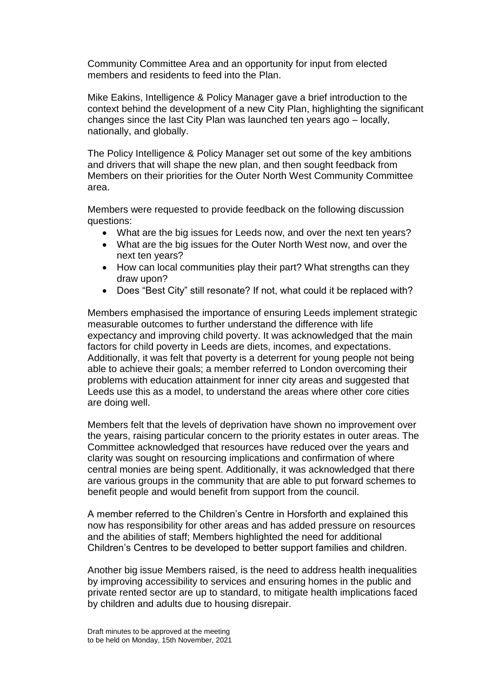Community Committee Area and an opportunity for input from elected members and residents to feed into the Plan.

Mike Eakins, Intelligence & Policy Manager gave a brief introduction to the context behind the development of a new City Plan, highlighting the significant changes since the last City Plan was launched ten years ago – locally, nationally, and globally.

The Policy Intelligence & Policy Manager set out some of the key ambitions and drivers that will shape the new plan, and then sought feedback from Members on their priorities for the Outer North West Community Committee area.

Members were requested to provide feedback on the following discussion questions:

- What are the big issues for Leeds now, and over the next ten years?
- What are the big issues for the Outer North West now, and over the next ten years?
- How can local communities play their part? What strengths can they draw upon?
- Does "Best City" still resonate? If not, what could it be replaced with?

Members emphasised the importance of ensuring Leeds implement strategic measurable outcomes to further understand the difference with life expectancy and improving child poverty. It was acknowledged that the main factors for child poverty in Leeds are diets, incomes, and expectations. Additionally, it was felt that poverty is a deterrent for young people not being able to achieve their goals; a member referred to London overcoming their problems with education attainment for inner city areas and suggested that Leeds use this as a model, to understand the areas where other core cities are doing well.

Members felt that the levels of deprivation have shown no improvement over the years, raising particular concern to the priority estates in outer areas. The Committee acknowledged that resources have reduced over the years and clarity was sought on resourcing implications and confirmation of where central monies are being spent. Additionally, it was acknowledged that there are various groups in the community that are able to put forward schemes to benefit people and would benefit from support from the council.

A member referred to the Children's Centre in Horsforth and explained this now has responsibility for other areas and has added pressure on resources and the abilities of staff; Members highlighted the need for additional Children's Centres to be developed to better support families and children.

Another big issue Members raised, is the need to address health inequalities by improving accessibility to services and ensuring homes in the public and private rented sector are up to standard, to mitigate health implications faced by children and adults due to housing disrepair.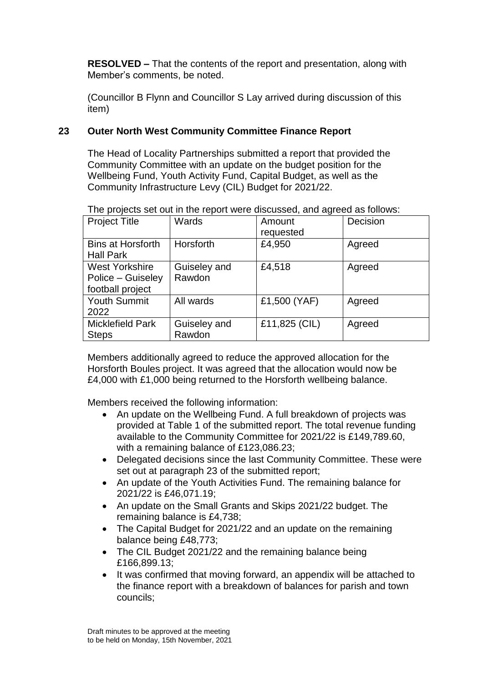**RESOLVED –** That the contents of the report and presentation, along with Member's comments, be noted.

(Councillor B Flynn and Councillor S Lay arrived during discussion of this item)

# **23 Outer North West Community Committee Finance Report**

The Head of Locality Partnerships submitted a report that provided the Community Committee with an update on the budget position for the Wellbeing Fund, Youth Activity Fund, Capital Budget, as well as the Community Infrastructure Levy (CIL) Budget for 2021/22.

|  |  | The projects set out in the report were discussed, and agreed as follows: |
|--|--|---------------------------------------------------------------------------|
|  |  |                                                                           |

| <b>Project Title</b>                                           | Wards                  | Amount<br>requested | Decision |
|----------------------------------------------------------------|------------------------|---------------------|----------|
| <b>Bins at Horsforth</b><br><b>Hall Park</b>                   | Horsforth              | £4,950              | Agreed   |
| <b>West Yorkshire</b><br>Police – Guiseley<br>football project | Guiseley and<br>Rawdon | £4,518              | Agreed   |
| <b>Youth Summit</b><br>2022                                    | All wards              | £1,500 (YAF)        | Agreed   |
| <b>Micklefield Park</b><br><b>Steps</b>                        | Guiseley and<br>Rawdon | £11,825 (CIL)       | Agreed   |

Members additionally agreed to reduce the approved allocation for the Horsforth Boules project. It was agreed that the allocation would now be £4,000 with £1,000 being returned to the Horsforth wellbeing balance.

Members received the following information:

- An update on the Wellbeing Fund. A full breakdown of projects was provided at Table 1 of the submitted report. The total revenue funding available to the Community Committee for 2021/22 is £149,789.60, with a remaining balance of £123,086.23;
- Delegated decisions since the last Community Committee. These were set out at paragraph 23 of the submitted report;
- An update of the Youth Activities Fund. The remaining balance for 2021/22 is £46,071.19;
- An update on the Small Grants and Skips 2021/22 budget. The remaining balance is £4,738;
- The Capital Budget for 2021/22 and an update on the remaining balance being £48,773;
- The CIL Budget 2021/22 and the remaining balance being £166,899.13;
- It was confirmed that moving forward, an appendix will be attached to the finance report with a breakdown of balances for parish and town councils;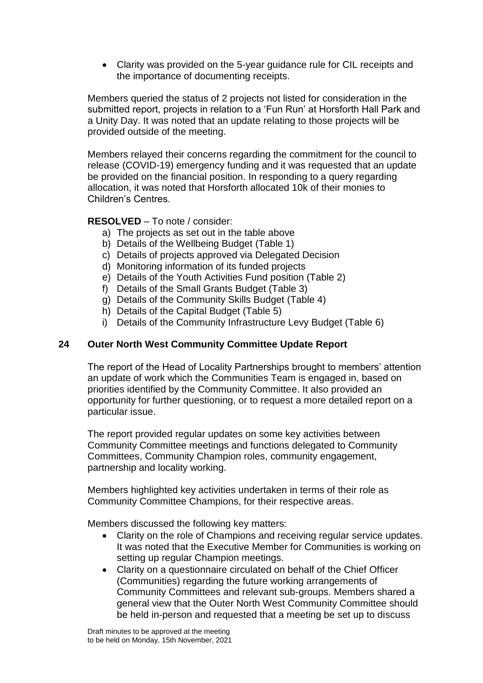Clarity was provided on the 5-year guidance rule for CIL receipts and the importance of documenting receipts.

Members queried the status of 2 projects not listed for consideration in the submitted report, projects in relation to a 'Fun Run' at Horsforth Hall Park and a Unity Day. It was noted that an update relating to those projects will be provided outside of the meeting.

Members relayed their concerns regarding the commitment for the council to release (COVID-19) emergency funding and it was requested that an update be provided on the financial position. In responding to a query regarding allocation, it was noted that Horsforth allocated 10k of their monies to Children's Centres.

## **RESOLVED** – To note / consider:

- a) The projects as set out in the table above
- b) Details of the Wellbeing Budget (Table 1)
- c) Details of projects approved via Delegated Decision
- d) Monitoring information of its funded projects
- e) Details of the Youth Activities Fund position (Table 2)
- f) Details of the Small Grants Budget (Table 3)
- g) Details of the Community Skills Budget (Table 4)
- h) Details of the Capital Budget (Table 5)
- i) Details of the Community Infrastructure Levy Budget (Table 6)

# **24 Outer North West Community Committee Update Report**

The report of the Head of Locality Partnerships brought to members' attention an update of work which the Communities Team is engaged in, based on priorities identified by the Community Committee. It also provided an opportunity for further questioning, or to request a more detailed report on a particular issue.

The report provided regular updates on some key activities between Community Committee meetings and functions delegated to Community Committees, Community Champion roles, community engagement, partnership and locality working.

Members highlighted key activities undertaken in terms of their role as Community Committee Champions, for their respective areas.

Members discussed the following key matters:

- Clarity on the role of Champions and receiving regular service updates. It was noted that the Executive Member for Communities is working on setting up regular Champion meetings.
- Clarity on a questionnaire circulated on behalf of the Chief Officer (Communities) regarding the future working arrangements of Community Committees and relevant sub-groups. Members shared a general view that the Outer North West Community Committee should be held in-person and requested that a meeting be set up to discuss